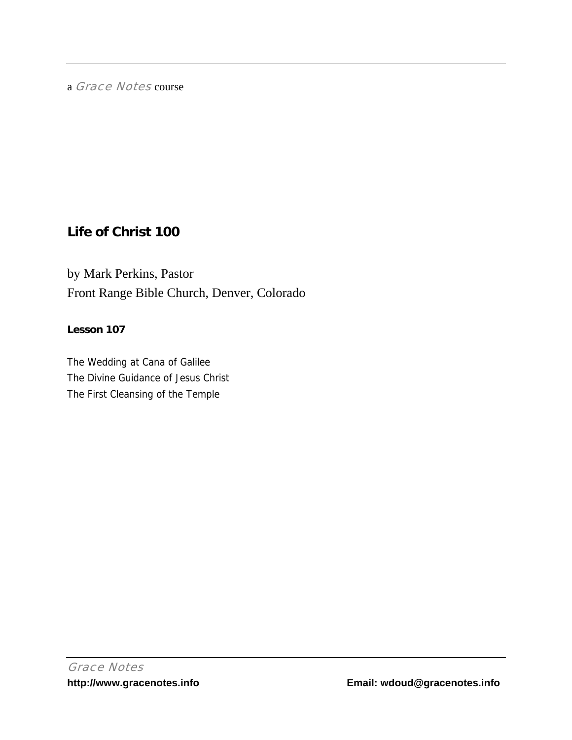a Grace Notes course

# **Life of Christ 100**

by Mark Perkins, Pastor Front Range Bible Church, Denver, Colorado

## **Lesson 107**

The Wedding at Cana of Galilee The Divine Guidance of Jesus Christ The First Cleansing of the Temple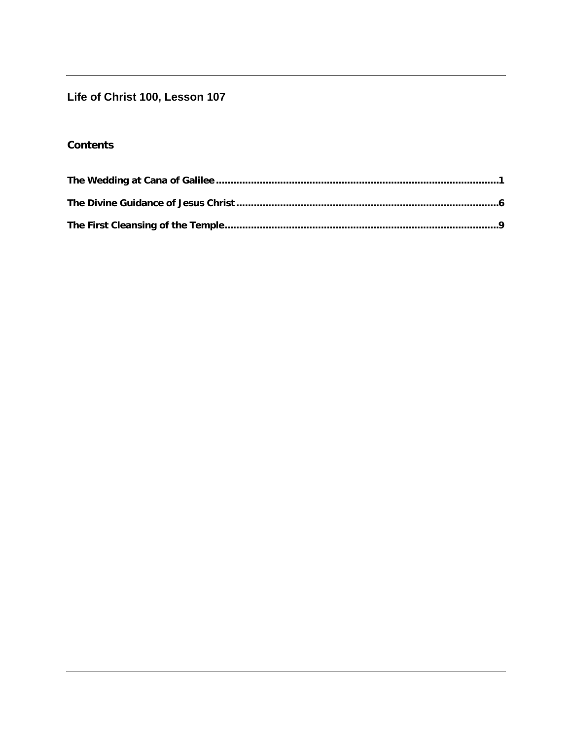## Life of Christ 100, Lesson 107

## **Contents**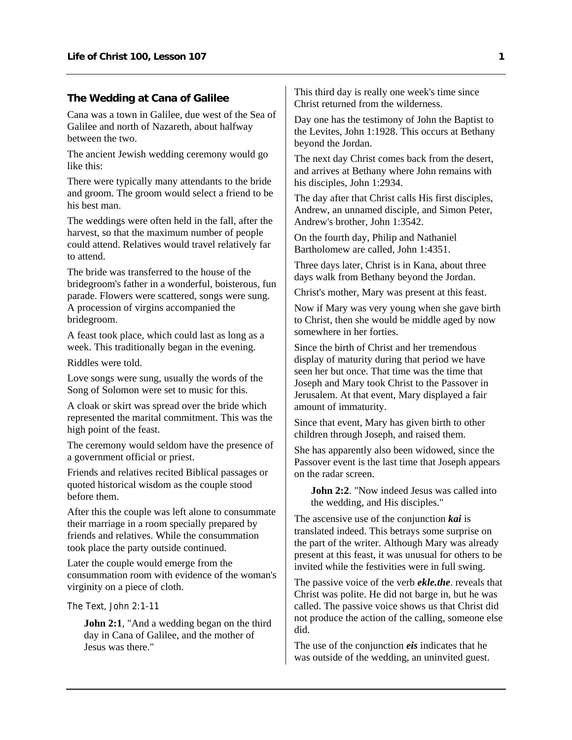#### <span id="page-2-0"></span>**The Wedding at Cana of Galilee**

Cana was a town in Galilee, due west of the Sea of Galilee and north of Nazareth, about halfway between the two.

The ancient Jewish wedding ceremony would go like this:

There were typically many attendants to the bride and groom. The groom would select a friend to be his best man.

The weddings were often held in the fall, after the harvest, so that the maximum number of people could attend. Relatives would travel relatively far to attend.

The bride was transferred to the house of the bridegroom's father in a wonderful, boisterous, fun parade. Flowers were scattered, songs were sung. A procession of virgins accompanied the bridegroom.

A feast took place, which could last as long as a week. This traditionally began in the evening.

Riddles were told.

Love songs were sung, usually the words of the Song of Solomon were set to music for this.

A cloak or skirt was spread over the bride which represented the marital commitment. This was the high point of the feast.

The ceremony would seldom have the presence of a government official or priest.

Friends and relatives recited Biblical passages or quoted historical wisdom as the couple stood before them.

After this the couple was left alone to consummate their marriage in a room specially prepared by friends and relatives. While the consummation took place the party outside continued.

Later the couple would emerge from the consummation room with evidence of the woman's virginity on a piece of cloth.

The Text, John 2:1-11

**John 2:1**, "And a wedding began on the third day in Cana of Galilee, and the mother of Jesus was there."

This third day is really one week's time since Christ returned from the wilderness.

Day one has the testimony of John the Baptist to the Levites, John 1:1928. This occurs at Bethany beyond the Jordan.

The next day Christ comes back from the desert, and arrives at Bethany where John remains with his disciples, John 1:2934.

The day after that Christ calls His first disciples, Andrew, an unnamed disciple, and Simon Peter, Andrew's brother, John 1:3542.

On the fourth day, Philip and Nathaniel Bartholomew are called, John 1:4351.

Three days later, Christ is in Kana, about three days walk from Bethany beyond the Jordan.

Christ's mother, Mary was present at this feast.

Now if Mary was very young when she gave birth to Christ, then she would be middle aged by now somewhere in her forties.

Since the birth of Christ and her tremendous display of maturity during that period we have seen her but once. That time was the time that Joseph and Mary took Christ to the Passover in Jerusalem. At that event, Mary displayed a fair amount of immaturity.

Since that event, Mary has given birth to other children through Joseph, and raised them.

She has apparently also been widowed, since the Passover event is the last time that Joseph appears on the radar screen.

**John 2:2.** "Now indeed Jesus was called into the wedding, and His disciples."

The ascensive use of the conjunction *kai* is translated indeed. This betrays some surprise on the part of the writer. Although Mary was already present at this feast, it was unusual for others to be invited while the festivities were in full swing.

The passive voice of the verb *ekle.the*. reveals that Christ was polite. He did not barge in, but he was called. The passive voice shows us that Christ did not produce the action of the calling, someone else did.

The use of the conjunction *eis* indicates that he was outside of the wedding, an uninvited guest.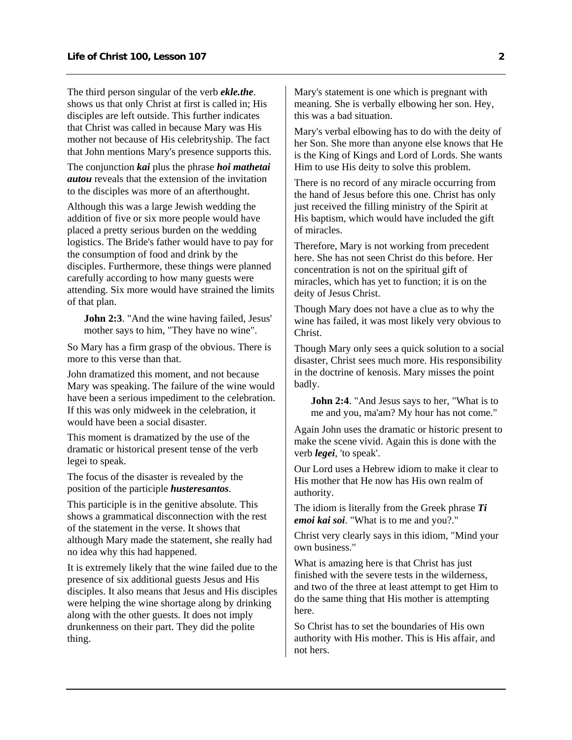The third person singular of the verb *ekle.the*. shows us that only Christ at first is called in; His disciples are left outside. This further indicates that Christ was called in because Mary was His mother not because of His celebrityship. The fact that John mentions Mary's presence supports this.

The conjunction *kai* plus the phrase *hoi mathetai autou* reveals that the extension of the invitation to the disciples was more of an afterthought.

Although this was a large Jewish wedding the addition of five or six more people would have placed a pretty serious burden on the wedding logistics. The Bride's father would have to pay for the consumption of food and drink by the disciples. Furthermore, these things were planned carefully according to how many guests were attending. Six more would have strained the limits of that plan.

**John 2:3**. "And the wine having failed, Jesus' mother says to him, "They have no wine".

So Mary has a firm grasp of the obvious. There is more to this verse than that.

John dramatized this moment, and not because Mary was speaking. The failure of the wine would have been a serious impediment to the celebration. If this was only midweek in the celebration, it would have been a social disaster.

This moment is dramatized by the use of the dramatic or historical present tense of the verb legei to speak.

The focus of the disaster is revealed by the position of the participle *husteresantos*.

This participle is in the genitive absolute. This shows a grammatical disconnection with the rest of the statement in the verse. It shows that although Mary made the statement, she really had no idea why this had happened.

It is extremely likely that the wine failed due to the presence of six additional guests Jesus and His disciples. It also means that Jesus and His disciples were helping the wine shortage along by drinking along with the other guests. It does not imply drunkenness on their part. They did the polite thing.

Mary's statement is one which is pregnant with meaning. She is verbally elbowing her son. Hey, this was a bad situation.

Mary's verbal elbowing has to do with the deity of her Son. She more than anyone else knows that He is the King of Kings and Lord of Lords. She wants Him to use His deity to solve this problem.

There is no record of any miracle occurring from the hand of Jesus before this one. Christ has only just received the filling ministry of the Spirit at His baptism, which would have included the gift of miracles.

Therefore, Mary is not working from precedent here. She has not seen Christ do this before. Her concentration is not on the spiritual gift of miracles, which has yet to function; it is on the deity of Jesus Christ.

Though Mary does not have a clue as to why the wine has failed, it was most likely very obvious to Christ.

Though Mary only sees a quick solution to a social disaster, Christ sees much more. His responsibility in the doctrine of kenosis. Mary misses the point badly.

**John 2:4**. "And Jesus says to her, "What is to me and you, ma'am? My hour has not come."

Again John uses the dramatic or historic present to make the scene vivid. Again this is done with the verb *legei*, 'to speak'.

Our Lord uses a Hebrew idiom to make it clear to His mother that He now has His own realm of authority.

The idiom is literally from the Greek phrase *Ti emoi kai soi*. "What is to me and you?."

Christ very clearly says in this idiom, "Mind your own business."

What is amazing here is that Christ has just finished with the severe tests in the wilderness, and two of the three at least attempt to get Him to do the same thing that His mother is attempting here.

So Christ has to set the boundaries of His own authority with His mother. This is His affair, and not hers.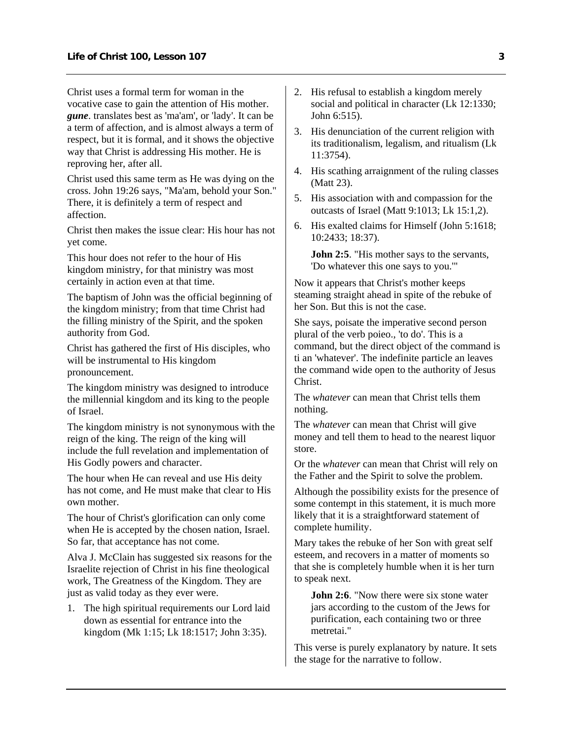Christ uses a formal term for woman in the vocative case to gain the attention of His mother. *gune*. translates best as 'ma'am', or 'lady'. It can be a term of affection, and is almost always a term of respect, but it is formal, and it shows the objective way that Christ is addressing His mother. He is reproving her, after all.

Christ used this same term as He was dying on the cross. John 19:26 says, "Ma'am, behold your Son." There, it is definitely a term of respect and affection.

Christ then makes the issue clear: His hour has not yet come.

This hour does not refer to the hour of His kingdom ministry, for that ministry was most certainly in action even at that time.

The baptism of John was the official beginning of the kingdom ministry; from that time Christ had the filling ministry of the Spirit, and the spoken authority from God.

Christ has gathered the first of His disciples, who will be instrumental to His kingdom pronouncement.

The kingdom ministry was designed to introduce the millennial kingdom and its king to the people of Israel.

The kingdom ministry is not synonymous with the reign of the king. The reign of the king will include the full revelation and implementation of His Godly powers and character.

The hour when He can reveal and use His deity has not come, and He must make that clear to His own mother.

The hour of Christ's glorification can only come when He is accepted by the chosen nation, Israel. So far, that acceptance has not come.

Alva J. McClain has suggested six reasons for the Israelite rejection of Christ in his fine theological work, The Greatness of the Kingdom. They are just as valid today as they ever were.

1. The high spiritual requirements our Lord laid down as essential for entrance into the kingdom (Mk 1:15; Lk 18:1517; John 3:35).

- 2. His refusal to establish a kingdom merely social and political in character (Lk 12:1330; John 6:515).
- 3. His denunciation of the current religion with its traditionalism, legalism, and ritualism (Lk 11:3754).
- 4. His scathing arraignment of the ruling classes (Matt 23).
- 5. His association with and compassion for the outcasts of Israel (Matt 9:1013; Lk 15:1,2).
- 6. His exalted claims for Himself (John 5:1618; 10:2433; 18:37).

**John 2:5**. "His mother says to the servants, 'Do whatever this one says to you.'"

Now it appears that Christ's mother keeps steaming straight ahead in spite of the rebuke of her Son. But this is not the case.

She says, poisate the imperative second person plural of the verb poieo., 'to do'. This is a command, but the direct object of the command is ti an 'whatever'. The indefinite particle an leaves the command wide open to the authority of Jesus Christ.

The *whatever* can mean that Christ tells them nothing.

The *whatever* can mean that Christ will give money and tell them to head to the nearest liquor store.

Or the *whatever* can mean that Christ will rely on the Father and the Spirit to solve the problem.

Although the possibility exists for the presence of some contempt in this statement, it is much more likely that it is a straightforward statement of complete humility.

Mary takes the rebuke of her Son with great self esteem, and recovers in a matter of moments so that she is completely humble when it is her turn to speak next.

**John 2:6**. "Now there were six stone water jars according to the custom of the Jews for purification, each containing two or three metretai."

This verse is purely explanatory by nature. It sets the stage for the narrative to follow.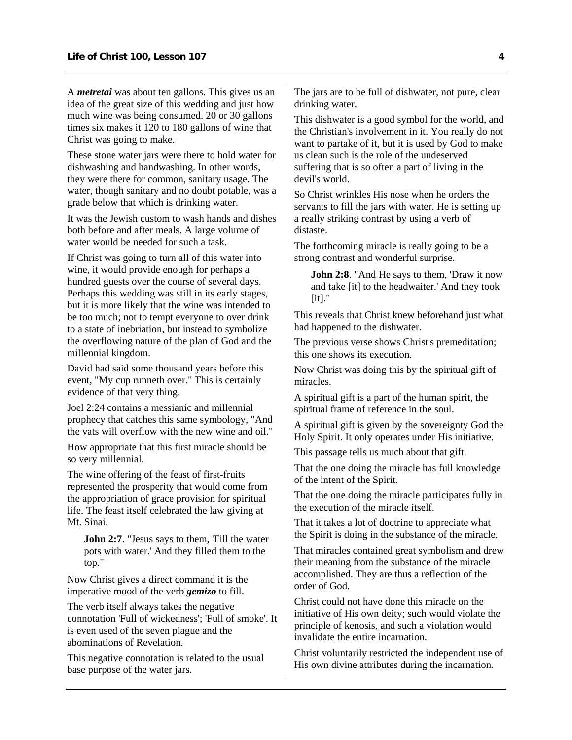A *metretai* was about ten gallons. This gives us an idea of the great size of this wedding and just how much wine was being consumed. 20 or 30 gallons times six makes it 120 to 180 gallons of wine that Christ was going to make.

These stone water jars were there to hold water for dishwashing and handwashing. In other words, they were there for common, sanitary usage. The water, though sanitary and no doubt potable, was a grade below that which is drinking water.

It was the Jewish custom to wash hands and dishes both before and after meals. A large volume of water would be needed for such a task.

If Christ was going to turn all of this water into wine, it would provide enough for perhaps a hundred guests over the course of several days. Perhaps this wedding was still in its early stages, but it is more likely that the wine was intended to be too much; not to tempt everyone to over drink to a state of inebriation, but instead to symbolize the overflowing nature of the plan of God and the millennial kingdom.

David had said some thousand years before this event, "My cup runneth over." This is certainly evidence of that very thing.

Joel 2:24 contains a messianic and millennial prophecy that catches this same symbology, "And the vats will overflow with the new wine and oil."

How appropriate that this first miracle should be so very millennial.

The wine offering of the feast of first-fruits represented the prosperity that would come from the appropriation of grace provision for spiritual life. The feast itself celebrated the law giving at Mt. Sinai.

**John 2:7**. "Jesus says to them, 'Fill the water pots with water.' And they filled them to the top."

Now Christ gives a direct command it is the imperative mood of the verb *gemizo* to fill.

The verb itself always takes the negative connotation 'Full of wickedness'; 'Full of smoke'. It is even used of the seven plague and the abominations of Revelation.

This negative connotation is related to the usual base purpose of the water jars.

The jars are to be full of dishwater, not pure, clear drinking water.

This dishwater is a good symbol for the world, and the Christian's involvement in it. You really do not want to partake of it, but it is used by God to make us clean such is the role of the undeserved suffering that is so often a part of living in the devil's world.

So Christ wrinkles His nose when he orders the servants to fill the jars with water. He is setting up a really striking contrast by using a verb of distaste.

The forthcoming miracle is really going to be a strong contrast and wonderful surprise.

**John 2:8**. "And He says to them, 'Draw it now and take [it] to the headwaiter.' And they took  $[it]."$ 

This reveals that Christ knew beforehand just what had happened to the dishwater.

The previous verse shows Christ's premeditation; this one shows its execution.

Now Christ was doing this by the spiritual gift of miracles.

A spiritual gift is a part of the human spirit, the spiritual frame of reference in the soul.

A spiritual gift is given by the sovereignty God the Holy Spirit. It only operates under His initiative.

This passage tells us much about that gift.

That the one doing the miracle has full knowledge of the intent of the Spirit.

That the one doing the miracle participates fully in the execution of the miracle itself.

That it takes a lot of doctrine to appreciate what the Spirit is doing in the substance of the miracle.

That miracles contained great symbolism and drew their meaning from the substance of the miracle accomplished. They are thus a reflection of the order of God.

Christ could not have done this miracle on the initiative of His own deity; such would violate the principle of kenosis, and such a violation would invalidate the entire incarnation.

Christ voluntarily restricted the independent use of His own divine attributes during the incarnation.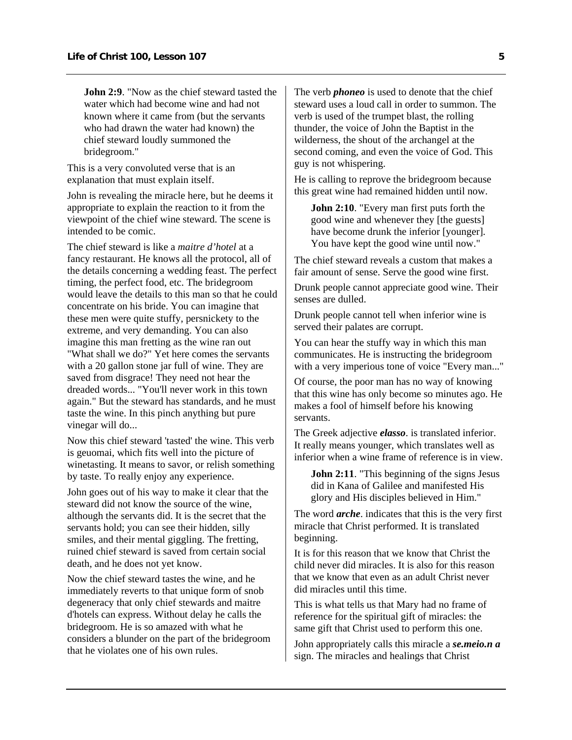**John 2:9**. "Now as the chief steward tasted the water which had become wine and had not known where it came from (but the servants who had drawn the water had known) the chief steward loudly summoned the bridegroom."

This is a very convoluted verse that is an explanation that must explain itself.

John is revealing the miracle here, but he deems it appropriate to explain the reaction to it from the viewpoint of the chief wine steward. The scene is intended to be comic.

The chief steward is like a *maitre d'hotel* at a fancy restaurant. He knows all the protocol, all of the details concerning a wedding feast. The perfect timing, the perfect food, etc. The bridegroom would leave the details to this man so that he could concentrate on his bride. You can imagine that these men were quite stuffy, persnickety to the extreme, and very demanding. You can also imagine this man fretting as the wine ran out "What shall we do?" Yet here comes the servants with a 20 gallon stone jar full of wine. They are saved from disgrace! They need not hear the dreaded words... "You'll never work in this town again." But the steward has standards, and he must taste the wine. In this pinch anything but pure vinegar will do...

Now this chief steward 'tasted' the wine. This verb is geuomai, which fits well into the picture of winetasting. It means to savor, or relish something by taste. To really enjoy any experience.

John goes out of his way to make it clear that the steward did not know the source of the wine, although the servants did. It is the secret that the servants hold; you can see their hidden, silly smiles, and their mental giggling. The fretting, ruined chief steward is saved from certain social death, and he does not yet know.

Now the chief steward tastes the wine, and he immediately reverts to that unique form of snob degeneracy that only chief stewards and maitre d'hotels can express. Without delay he calls the bridegroom. He is so amazed with what he considers a blunder on the part of the bridegroom that he violates one of his own rules.

The verb *phoneo* is used to denote that the chief steward uses a loud call in order to summon. The verb is used of the trumpet blast, the rolling thunder, the voice of John the Baptist in the wilderness, the shout of the archangel at the second coming, and even the voice of God. This guy is not whispering.

He is calling to reprove the bridegroom because this great wine had remained hidden until now.

**John 2:10**. "Every man first puts forth the good wine and whenever they [the guests] have become drunk the inferior [younger]. You have kept the good wine until now."

The chief steward reveals a custom that makes a fair amount of sense. Serve the good wine first.

Drunk people cannot appreciate good wine. Their senses are dulled.

Drunk people cannot tell when inferior wine is served their palates are corrupt.

You can hear the stuffy way in which this man communicates. He is instructing the bridegroom with a very imperious tone of voice "Every man..."

Of course, the poor man has no way of knowing that this wine has only become so minutes ago. He makes a fool of himself before his knowing servants.

The Greek adjective *elasso*. is translated inferior. It really means younger, which translates well as inferior when a wine frame of reference is in view.

**John 2:11**. "This beginning of the signs Jesus did in Kana of Galilee and manifested His glory and His disciples believed in Him."

The word *arche*. indicates that this is the very first miracle that Christ performed. It is translated beginning.

It is for this reason that we know that Christ the child never did miracles. It is also for this reason that we know that even as an adult Christ never did miracles until this time.

This is what tells us that Mary had no frame of reference for the spiritual gift of miracles: the same gift that Christ used to perform this one.

John appropriately calls this miracle a *se.meio.n a*  sign. The miracles and healings that Christ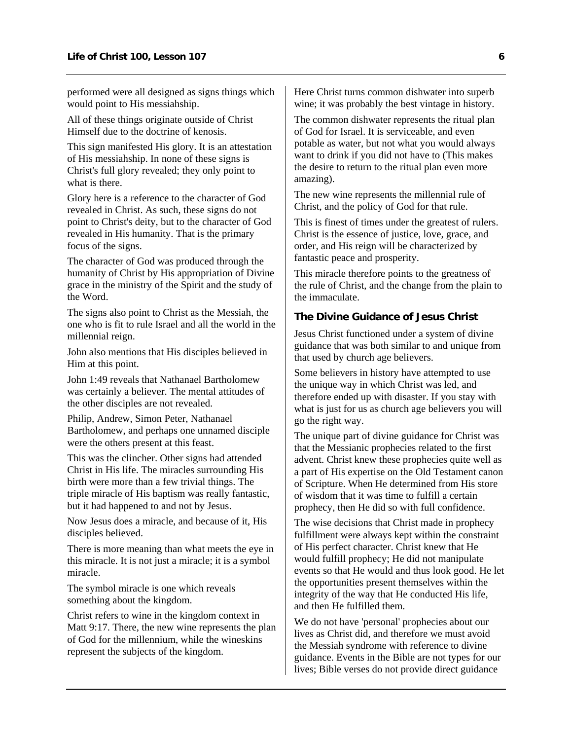<span id="page-7-0"></span>performed were all designed as signs things which would point to His messiahship.

All of these things originate outside of Christ Himself due to the doctrine of kenosis.

This sign manifested His glory. It is an attestation of His messiahship. In none of these signs is Christ's full glory revealed; they only point to what is there.

Glory here is a reference to the character of God revealed in Christ. As such, these signs do not point to Christ's deity, but to the character of God revealed in His humanity. That is the primary focus of the signs.

The character of God was produced through the humanity of Christ by His appropriation of Divine grace in the ministry of the Spirit and the study of the Word.

The signs also point to Christ as the Messiah, the one who is fit to rule Israel and all the world in the millennial reign.

John also mentions that His disciples believed in Him at this point.

John 1:49 reveals that Nathanael Bartholomew was certainly a believer. The mental attitudes of the other disciples are not revealed.

Philip, Andrew, Simon Peter, Nathanael Bartholomew, and perhaps one unnamed disciple were the others present at this feast.

This was the clincher. Other signs had attended Christ in His life. The miracles surrounding His birth were more than a few trivial things. The triple miracle of His baptism was really fantastic, but it had happened to and not by Jesus.

Now Jesus does a miracle, and because of it, His disciples believed.

There is more meaning than what meets the eye in this miracle. It is not just a miracle; it is a symbol miracle.

The symbol miracle is one which reveals something about the kingdom.

Christ refers to wine in the kingdom context in Matt 9:17. There, the new wine represents the plan of God for the millennium, while the wineskins represent the subjects of the kingdom.

Here Christ turns common dishwater into superb wine; it was probably the best vintage in history.

The common dishwater represents the ritual plan of God for Israel. It is serviceable, and even potable as water, but not what you would always want to drink if you did not have to (This makes the desire to return to the ritual plan even more amazing).

The new wine represents the millennial rule of Christ, and the policy of God for that rule.

This is finest of times under the greatest of rulers. Christ is the essence of justice, love, grace, and order, and His reign will be characterized by fantastic peace and prosperity.

This miracle therefore points to the greatness of the rule of Christ, and the change from the plain to the immaculate.

#### **The Divine Guidance of Jesus Christ**

Jesus Christ functioned under a system of divine guidance that was both similar to and unique from that used by church age believers.

Some believers in history have attempted to use the unique way in which Christ was led, and therefore ended up with disaster. If you stay with what is just for us as church age believers you will go the right way.

The unique part of divine guidance for Christ was that the Messianic prophecies related to the first advent. Christ knew these prophecies quite well as a part of His expertise on the Old Testament canon of Scripture. When He determined from His store of wisdom that it was time to fulfill a certain prophecy, then He did so with full confidence.

The wise decisions that Christ made in prophecy fulfillment were always kept within the constraint of His perfect character. Christ knew that He would fulfill prophecy; He did not manipulate events so that He would and thus look good. He let the opportunities present themselves within the integrity of the way that He conducted His life, and then He fulfilled them.

We do not have 'personal' prophecies about our lives as Christ did, and therefore we must avoid the Messiah syndrome with reference to divine guidance. Events in the Bible are not types for our lives; Bible verses do not provide direct guidance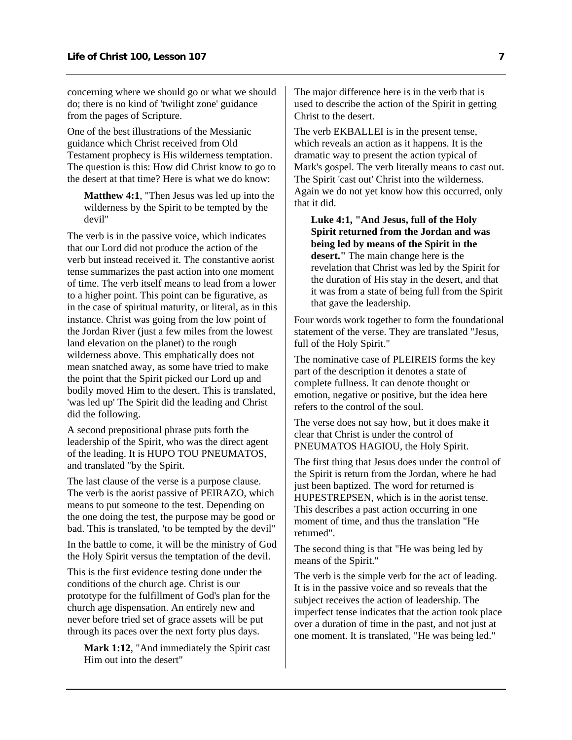concerning where we should go or what we should do; there is no kind of 'twilight zone' guidance from the pages of Scripture.

One of the best illustrations of the Messianic guidance which Christ received from Old Testament prophecy is His wilderness temptation. The question is this: How did Christ know to go to the desert at that time? Here is what we do know:

**Matthew 4:1**, "Then Jesus was led up into the wilderness by the Spirit to be tempted by the devil"

The verb is in the passive voice, which indicates that our Lord did not produce the action of the verb but instead received it. The constantive aorist tense summarizes the past action into one moment of time. The verb itself means to lead from a lower to a higher point. This point can be figurative, as in the case of spiritual maturity, or literal, as in this instance. Christ was going from the low point of the Jordan River (just a few miles from the lowest land elevation on the planet) to the rough wilderness above. This emphatically does not mean snatched away, as some have tried to make the point that the Spirit picked our Lord up and bodily moved Him to the desert. This is translated, 'was led up' The Spirit did the leading and Christ did the following.

A second prepositional phrase puts forth the leadership of the Spirit, who was the direct agent of the leading. It is HUPO TOU PNEUMATOS, and translated "by the Spirit.

The last clause of the verse is a purpose clause. The verb is the aorist passive of PEIRAZO, which means to put someone to the test. Depending on the one doing the test, the purpose may be good or bad. This is translated, 'to be tempted by the devil"

In the battle to come, it will be the ministry of God the Holy Spirit versus the temptation of the devil.

This is the first evidence testing done under the conditions of the church age. Christ is our prototype for the fulfillment of God's plan for the church age dispensation. An entirely new and never before tried set of grace assets will be put through its paces over the next forty plus days.

Mark 1:12, "And immediately the Spirit cast Him out into the desert"

The major difference here is in the verb that is used to describe the action of the Spirit in getting Christ to the desert.

The verb EKBALLEI is in the present tense, which reveals an action as it happens. It is the dramatic way to present the action typical of Mark's gospel. The verb literally means to cast out. The Spirit 'cast out' Christ into the wilderness. Again we do not yet know how this occurred, only that it did.

**Luke 4:1, "And Jesus, full of the Holy Spirit returned from the Jordan and was being led by means of the Spirit in the desert."** The main change here is the revelation that Christ was led by the Spirit for the duration of His stay in the desert, and that it was from a state of being full from the Spirit that gave the leadership.

Four words work together to form the foundational statement of the verse. They are translated "Jesus, full of the Holy Spirit."

The nominative case of PLEIREIS forms the key part of the description it denotes a state of complete fullness. It can denote thought or emotion, negative or positive, but the idea here refers to the control of the soul.

The verse does not say how, but it does make it clear that Christ is under the control of PNEUMATOS HAGIOU, the Holy Spirit.

The first thing that Jesus does under the control of the Spirit is return from the Jordan, where he had just been baptized. The word for returned is HUPESTREPSEN, which is in the aorist tense. This describes a past action occurring in one moment of time, and thus the translation "He returned".

The second thing is that "He was being led by means of the Spirit."

The verb is the simple verb for the act of leading. It is in the passive voice and so reveals that the subject receives the action of leadership. The imperfect tense indicates that the action took place over a duration of time in the past, and not just at one moment. It is translated, "He was being led."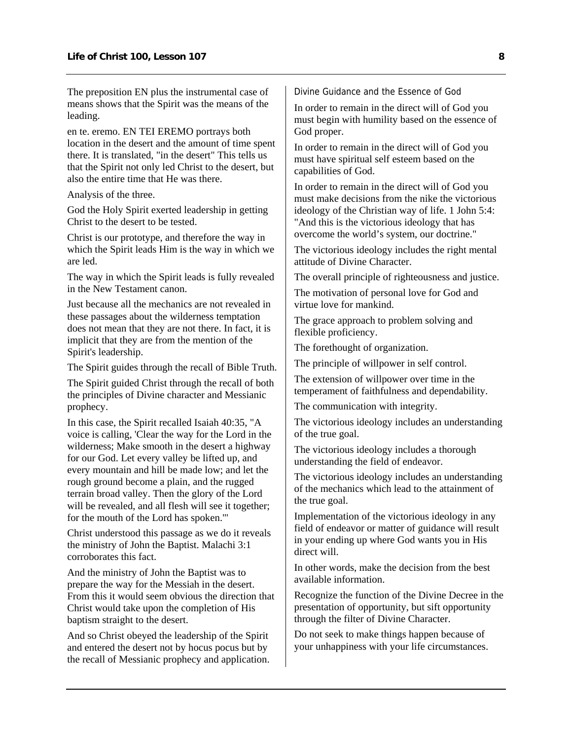The preposition EN plus the instrumental case of means shows that the Spirit was the means of the leading.

en te. eremo. EN TEI EREMO portrays both location in the desert and the amount of time spent there. It is translated, "in the desert" This tells us that the Spirit not only led Christ to the desert, but also the entire time that He was there.

Analysis of the three.

God the Holy Spirit exerted leadership in getting Christ to the desert to be tested.

Christ is our prototype, and therefore the way in which the Spirit leads Him is the way in which we are led.

The way in which the Spirit leads is fully revealed in the New Testament canon.

Just because all the mechanics are not revealed in these passages about the wilderness temptation does not mean that they are not there. In fact, it is implicit that they are from the mention of the Spirit's leadership.

The Spirit guides through the recall of Bible Truth.

The Spirit guided Christ through the recall of both the principles of Divine character and Messianic prophecy.

In this case, the Spirit recalled Isaiah 40:35, "A voice is calling, 'Clear the way for the Lord in the wilderness; Make smooth in the desert a highway for our God. Let every valley be lifted up, and every mountain and hill be made low; and let the rough ground become a plain, and the rugged terrain broad valley. Then the glory of the Lord will be revealed, and all flesh will see it together; for the mouth of the Lord has spoken.'"

Christ understood this passage as we do it reveals the ministry of John the Baptist. Malachi 3:1 corroborates this fact.

And the ministry of John the Baptist was to prepare the way for the Messiah in the desert. From this it would seem obvious the direction that Christ would take upon the completion of His baptism straight to the desert.

And so Christ obeyed the leadership of the Spirit and entered the desert not by hocus pocus but by the recall of Messianic prophecy and application. Divine Guidance and the Essence of God

In order to remain in the direct will of God you must begin with humility based on the essence of God proper.

In order to remain in the direct will of God you must have spiritual self esteem based on the capabilities of God.

In order to remain in the direct will of God you must make decisions from the nike the victorious ideology of the Christian way of life. 1 John 5:4: "And this is the victorious ideology that has overcome the world's system, our doctrine."

The victorious ideology includes the right mental attitude of Divine Character.

The overall principle of righteousness and justice.

The motivation of personal love for God and virtue love for mankind.

The grace approach to problem solving and flexible proficiency.

The forethought of organization.

The principle of willpower in self control.

The extension of willpower over time in the temperament of faithfulness and dependability.

The communication with integrity.

The victorious ideology includes an understanding of the true goal.

The victorious ideology includes a thorough understanding the field of endeavor.

The victorious ideology includes an understanding of the mechanics which lead to the attainment of the true goal.

Implementation of the victorious ideology in any field of endeavor or matter of guidance will result in your ending up where God wants you in His direct will.

In other words, make the decision from the best available information.

Recognize the function of the Divine Decree in the presentation of opportunity, but sift opportunity through the filter of Divine Character.

Do not seek to make things happen because of your unhappiness with your life circumstances.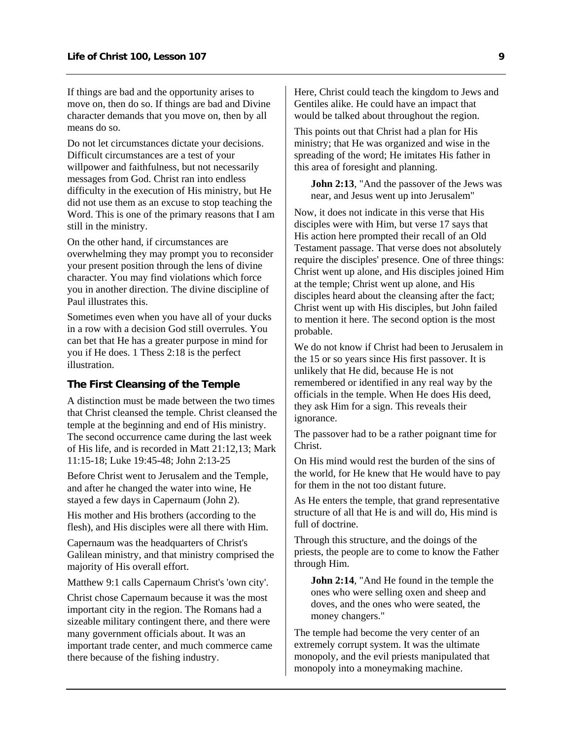<span id="page-10-0"></span>If things are bad and the opportunity arises to move on, then do so. If things are bad and Divine character demands that you move on, then by all means do so.

Do not let circumstances dictate your decisions. Difficult circumstances are a test of your willpower and faithfulness, but not necessarily messages from God. Christ ran into endless difficulty in the execution of His ministry, but He did not use them as an excuse to stop teaching the Word. This is one of the primary reasons that I am still in the ministry.

On the other hand, if circumstances are overwhelming they may prompt you to reconsider your present position through the lens of divine character. You may find violations which force you in another direction. The divine discipline of Paul illustrates this.

Sometimes even when you have all of your ducks in a row with a decision God still overrules. You can bet that He has a greater purpose in mind for you if He does. 1 Thess 2:18 is the perfect illustration.

#### **The First Cleansing of the Temple**

A distinction must be made between the two times that Christ cleansed the temple. Christ cleansed the temple at the beginning and end of His ministry. The second occurrence came during the last week of His life, and is recorded in Matt 21:12,13; Mark 11:15-18; Luke 19:45-48; John 2:13-25

Before Christ went to Jerusalem and the Temple, and after he changed the water into wine, He stayed a few days in Capernaum (John 2).

His mother and His brothers (according to the flesh), and His disciples were all there with Him.

Capernaum was the headquarters of Christ's Galilean ministry, and that ministry comprised the majority of His overall effort.

Matthew 9:1 calls Capernaum Christ's 'own city'.

Christ chose Capernaum because it was the most important city in the region. The Romans had a sizeable military contingent there, and there were many government officials about. It was an important trade center, and much commerce came there because of the fishing industry.

Here, Christ could teach the kingdom to Jews and Gentiles alike. He could have an impact that would be talked about throughout the region.

This points out that Christ had a plan for His ministry; that He was organized and wise in the spreading of the word; He imitates His father in this area of foresight and planning.

**John 2:13**, "And the passover of the Jews was near, and Jesus went up into Jerusalem"

Now, it does not indicate in this verse that His disciples were with Him, but verse 17 says that His action here prompted their recall of an Old Testament passage. That verse does not absolutely require the disciples' presence. One of three things: Christ went up alone, and His disciples joined Him at the temple; Christ went up alone, and His disciples heard about the cleansing after the fact; Christ went up with His disciples, but John failed to mention it here. The second option is the most probable.

We do not know if Christ had been to Jerusalem in the 15 or so years since His first passover. It is unlikely that He did, because He is not remembered or identified in any real way by the officials in the temple. When He does His deed, they ask Him for a sign. This reveals their ignorance.

The passover had to be a rather poignant time for Christ.

On His mind would rest the burden of the sins of the world, for He knew that He would have to pay for them in the not too distant future.

As He enters the temple, that grand representative structure of all that He is and will do, His mind is full of doctrine.

Through this structure, and the doings of the priests, the people are to come to know the Father through Him.

**John 2:14**, "And He found in the temple the ones who were selling oxen and sheep and doves, and the ones who were seated, the money changers."

The temple had become the very center of an extremely corrupt system. It was the ultimate monopoly, and the evil priests manipulated that monopoly into a moneymaking machine.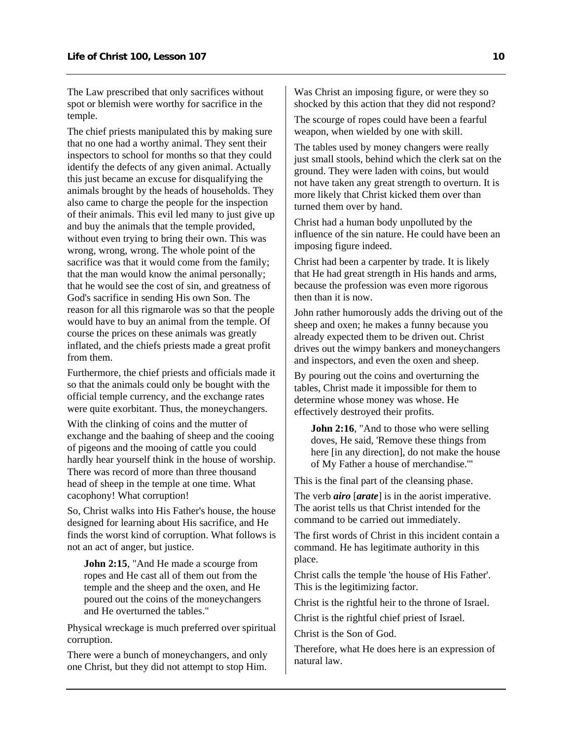The Law prescribed that only sacrifices without spot or blemish were worthy for sacrifice in the temple.

The chief priests manipulated this by making sure that no one had a worthy animal. They sent their inspectors to school for months so that they could identify the defects of any given animal. Actually this just became an excuse for disqualifying the animals brought by the heads of households. They also came to charge the people for the inspection of their animals. This evil led many to just give up and buy the animals that the temple provided, without even trying to bring their own. This was wrong, wrong, wrong. The whole point of the sacrifice was that it would come from the family; that the man would know the animal personally; that he would see the cost of sin, and greatness of God's sacrifice in sending His own Son. The reason for all this rigmarole was so that the people would have to buy an animal from the temple. Of course the prices on these animals was greatly inflated, and the chiefs priests made a great profit from them.

Furthermore, the chief priests and officials made it so that the animals could only be bought with the official temple currency, and the exchange rates were quite exorbitant. Thus, the moneychangers.

With the clinking of coins and the mutter of exchange and the baahing of sheep and the cooing of pigeons and the mooing of cattle you could hardly hear yourself think in the house of worship. There was record of more than three thousand head of sheep in the temple at one time. What cacophony! What corruption!

So, Christ walks into His Father's house, the house designed for learning about His sacrifice, and He finds the worst kind of corruption. What follows is not an act of anger, but justice.

**John 2:15**, "And He made a scourge from ropes and He cast all of them out from the temple and the sheep and the oxen, and He poured out the coins of the moneychangers and He overturned the tables."

Physical wreckage is much preferred over spiritual corruption.

There were a bunch of moneychangers, and only one Christ, but they did not attempt to stop Him.

Was Christ an imposing figure, or were they so shocked by this action that they did not respond?

The scourge of ropes could have been a fearful weapon, when wielded by one with skill.

The tables used by money changers were really just small stools, behind which the clerk sat on the ground. They were laden with coins, but would not have taken any great strength to overturn. It is more likely that Christ kicked them over than turned them over by hand.

Christ had a human body unpolluted by the influence of the sin nature. He could have been an imposing figure indeed.

Christ had been a carpenter by trade. It is likely that He had great strength in His hands and arms, because the profession was even more rigorous then than it is now.

John rather humorously adds the driving out of the sheep and oxen; he makes a funny because you already expected them to be driven out. Christ drives out the wimpy bankers and moneychangers and inspectors, and even the oxen and sheep.

By pouring out the coins and overturning the tables, Christ made it impossible for them to determine whose money was whose. He effectively destroyed their profits.

**John 2:16**, "And to those who were selling doves, He said, 'Remove these things from here [in any direction], do not make the house of My Father a house of merchandise.'"

This is the final part of the cleansing phase.

The verb *airo* [*arate*] is in the aorist imperative. The aorist tells us that Christ intended for the command to be carried out immediately.

The first words of Christ in this incident contain a command. He has legitimate authority in this place.

Christ calls the temple 'the house of His Father'. This is the legitimizing factor.

Christ is the rightful heir to the throne of Israel.

Christ is the rightful chief priest of Israel.

Christ is the Son of God.

Therefore, what He does here is an expression of natural law.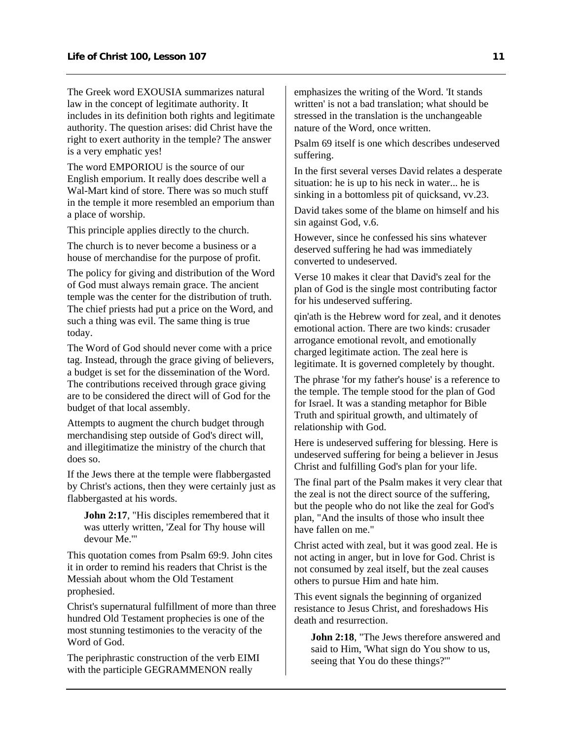The Greek word EXOUSIA summarizes natural law in the concept of legitimate authority. It includes in its definition both rights and legitimate authority. The question arises: did Christ have the right to exert authority in the temple? The answer is a very emphatic yes!

The word EMPORIOU is the source of our English emporium. It really does describe well a Wal-Mart kind of store. There was so much stuff in the temple it more resembled an emporium than a place of worship.

This principle applies directly to the church.

The church is to never become a business or a house of merchandise for the purpose of profit.

The policy for giving and distribution of the Word of God must always remain grace. The ancient temple was the center for the distribution of truth. The chief priests had put a price on the Word, and such a thing was evil. The same thing is true today.

The Word of God should never come with a price tag. Instead, through the grace giving of believers, a budget is set for the dissemination of the Word. The contributions received through grace giving are to be considered the direct will of God for the budget of that local assembly.

Attempts to augment the church budget through merchandising step outside of God's direct will, and illegitimatize the ministry of the church that does so.

If the Jews there at the temple were flabbergasted by Christ's actions, then they were certainly just as flabbergasted at his words.

**John 2:17**, "His disciples remembered that it was utterly written, 'Zeal for Thy house will devour Me.'"

This quotation comes from Psalm 69:9. John cites it in order to remind his readers that Christ is the Messiah about whom the Old Testament prophesied.

Christ's supernatural fulfillment of more than three hundred Old Testament prophecies is one of the most stunning testimonies to the veracity of the Word of God.

The periphrastic construction of the verb EIMI with the participle GEGRAMMENON really

emphasizes the writing of the Word. 'It stands written' is not a bad translation; what should be stressed in the translation is the unchangeable nature of the Word, once written.

Psalm 69 itself is one which describes undeserved suffering.

In the first several verses David relates a desperate situation: he is up to his neck in water... he is sinking in a bottomless pit of quicksand, vv.23.

David takes some of the blame on himself and his sin against God, v.6.

However, since he confessed his sins whatever deserved suffering he had was immediately converted to undeserved.

Verse 10 makes it clear that David's zeal for the plan of God is the single most contributing factor for his undeserved suffering.

qin'ath is the Hebrew word for zeal, and it denotes emotional action. There are two kinds: crusader arrogance emotional revolt, and emotionally charged legitimate action. The zeal here is legitimate. It is governed completely by thought.

The phrase 'for my father's house' is a reference to the temple. The temple stood for the plan of God for Israel. It was a standing metaphor for Bible Truth and spiritual growth, and ultimately of relationship with God.

Here is undeserved suffering for blessing. Here is undeserved suffering for being a believer in Jesus Christ and fulfilling God's plan for your life.

The final part of the Psalm makes it very clear that the zeal is not the direct source of the suffering, but the people who do not like the zeal for God's plan, "And the insults of those who insult thee have fallen on me."

Christ acted with zeal, but it was good zeal. He is not acting in anger, but in love for God. Christ is not consumed by zeal itself, but the zeal causes others to pursue Him and hate him.

This event signals the beginning of organized resistance to Jesus Christ, and foreshadows His death and resurrection.

**John 2:18**, "The Jews therefore answered and said to Him, 'What sign do You show to us, seeing that You do these things?'"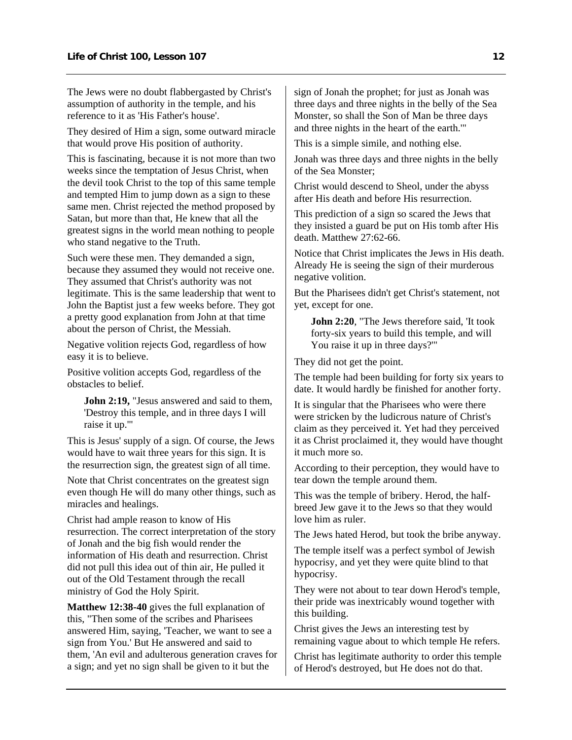The Jews were no doubt flabbergasted by Christ's assumption of authority in the temple, and his reference to it as 'His Father's house'.

They desired of Him a sign, some outward miracle that would prove His position of authority.

This is fascinating, because it is not more than two weeks since the temptation of Jesus Christ, when the devil took Christ to the top of this same temple and tempted Him to jump down as a sign to these same men. Christ rejected the method proposed by Satan, but more than that, He knew that all the greatest signs in the world mean nothing to people who stand negative to the Truth.

Such were these men. They demanded a sign, because they assumed they would not receive one. They assumed that Christ's authority was not legitimate. This is the same leadership that went to John the Baptist just a few weeks before. They got a pretty good explanation from John at that time about the person of Christ, the Messiah.

Negative volition rejects God, regardless of how easy it is to believe.

Positive volition accepts God, regardless of the obstacles to belief.

**John 2:19,** "Jesus answered and said to them, 'Destroy this temple, and in three days I will raise it up.'"

This is Jesus' supply of a sign. Of course, the Jews would have to wait three years for this sign. It is the resurrection sign, the greatest sign of all time.

Note that Christ concentrates on the greatest sign even though He will do many other things, such as miracles and healings.

Christ had ample reason to know of His resurrection. The correct interpretation of the story of Jonah and the big fish would render the information of His death and resurrection. Christ did not pull this idea out of thin air, He pulled it out of the Old Testament through the recall ministry of God the Holy Spirit.

**Matthew 12:38-40** gives the full explanation of this, "Then some of the scribes and Pharisees answered Him, saying, 'Teacher, we want to see a sign from You.' But He answered and said to them, 'An evil and adulterous generation craves for a sign; and yet no sign shall be given to it but the

sign of Jonah the prophet; for just as Jonah was three days and three nights in the belly of the Sea Monster, so shall the Son of Man be three days and three nights in the heart of the earth.'"

This is a simple simile, and nothing else.

Jonah was three days and three nights in the belly of the Sea Monster;

Christ would descend to Sheol, under the abyss after His death and before His resurrection.

This prediction of a sign so scared the Jews that they insisted a guard be put on His tomb after His death. Matthew 27:62-66.

Notice that Christ implicates the Jews in His death. Already He is seeing the sign of their murderous negative volition.

But the Pharisees didn't get Christ's statement, not yet, except for one.

**John 2:20**, "The Jews therefore said, 'It took forty-six years to build this temple, and will You raise it up in three days?'"

They did not get the point.

The temple had been building for forty six years to date. It would hardly be finished for another forty.

It is singular that the Pharisees who were there were stricken by the ludicrous nature of Christ's claim as they perceived it. Yet had they perceived it as Christ proclaimed it, they would have thought it much more so.

According to their perception, they would have to tear down the temple around them.

This was the temple of bribery. Herod, the halfbreed Jew gave it to the Jews so that they would love him as ruler.

The Jews hated Herod, but took the bribe anyway.

The temple itself was a perfect symbol of Jewish hypocrisy, and yet they were quite blind to that hypocrisy.

They were not about to tear down Herod's temple, their pride was inextricably wound together with this building.

Christ gives the Jews an interesting test by remaining vague about to which temple He refers.

Christ has legitimate authority to order this temple of Herod's destroyed, but He does not do that.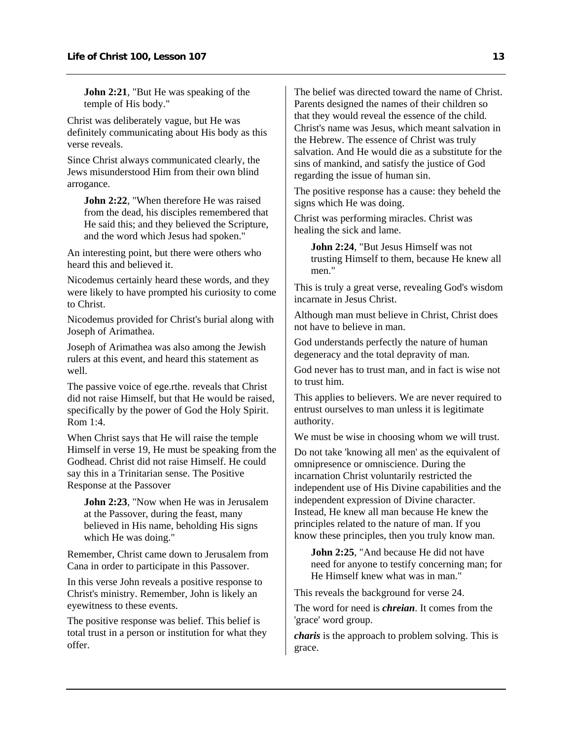**John 2:21**, "But He was speaking of the temple of His body."

Christ was deliberately vague, but He was definitely communicating about His body as this verse reveals.

Since Christ always communicated clearly, the Jews misunderstood Him from their own blind arrogance.

**John 2:22**, "When therefore He was raised from the dead, his disciples remembered that He said this; and they believed the Scripture, and the word which Jesus had spoken."

An interesting point, but there were others who heard this and believed it.

Nicodemus certainly heard these words, and they were likely to have prompted his curiosity to come to Christ.

Nicodemus provided for Christ's burial along with Joseph of Arimathea.

Joseph of Arimathea was also among the Jewish rulers at this event, and heard this statement as well.

The passive voice of ege.rthe. reveals that Christ did not raise Himself, but that He would be raised, specifically by the power of God the Holy Spirit. Rom 1:4.

When Christ says that He will raise the temple Himself in verse 19, He must be speaking from the Godhead. Christ did not raise Himself. He could say this in a Trinitarian sense. The Positive Response at the Passover

**John 2:23**, "Now when He was in Jerusalem at the Passover, during the feast, many believed in His name, beholding His signs which He was doing."

Remember, Christ came down to Jerusalem from Cana in order to participate in this Passover.

In this verse John reveals a positive response to Christ's ministry. Remember, John is likely an eyewitness to these events.

The positive response was belief. This belief is total trust in a person or institution for what they offer.

The belief was directed toward the name of Christ. Parents designed the names of their children so that they would reveal the essence of the child. Christ's name was Jesus, which meant salvation in the Hebrew. The essence of Christ was truly salvation. And He would die as a substitute for the sins of mankind, and satisfy the justice of God regarding the issue of human sin.

The positive response has a cause: they beheld the signs which He was doing.

Christ was performing miracles. Christ was healing the sick and lame.

**John 2:24**, "But Jesus Himself was not trusting Himself to them, because He knew all men."

This is truly a great verse, revealing God's wisdom incarnate in Jesus Christ.

Although man must believe in Christ, Christ does not have to believe in man.

God understands perfectly the nature of human degeneracy and the total depravity of man.

God never has to trust man, and in fact is wise not to trust him.

This applies to believers. We are never required to entrust ourselves to man unless it is legitimate authority.

We must be wise in choosing whom we will trust.

Do not take 'knowing all men' as the equivalent of omnipresence or omniscience. During the incarnation Christ voluntarily restricted the independent use of His Divine capabilities and the independent expression of Divine character. Instead, He knew all man because He knew the principles related to the nature of man. If you know these principles, then you truly know man.

**John 2:25.** "And because He did not have need for anyone to testify concerning man; for He Himself knew what was in man."

This reveals the background for verse 24.

The word for need is *chreian*. It comes from the 'grace' word group.

*charis* is the approach to problem solving. This is grace.